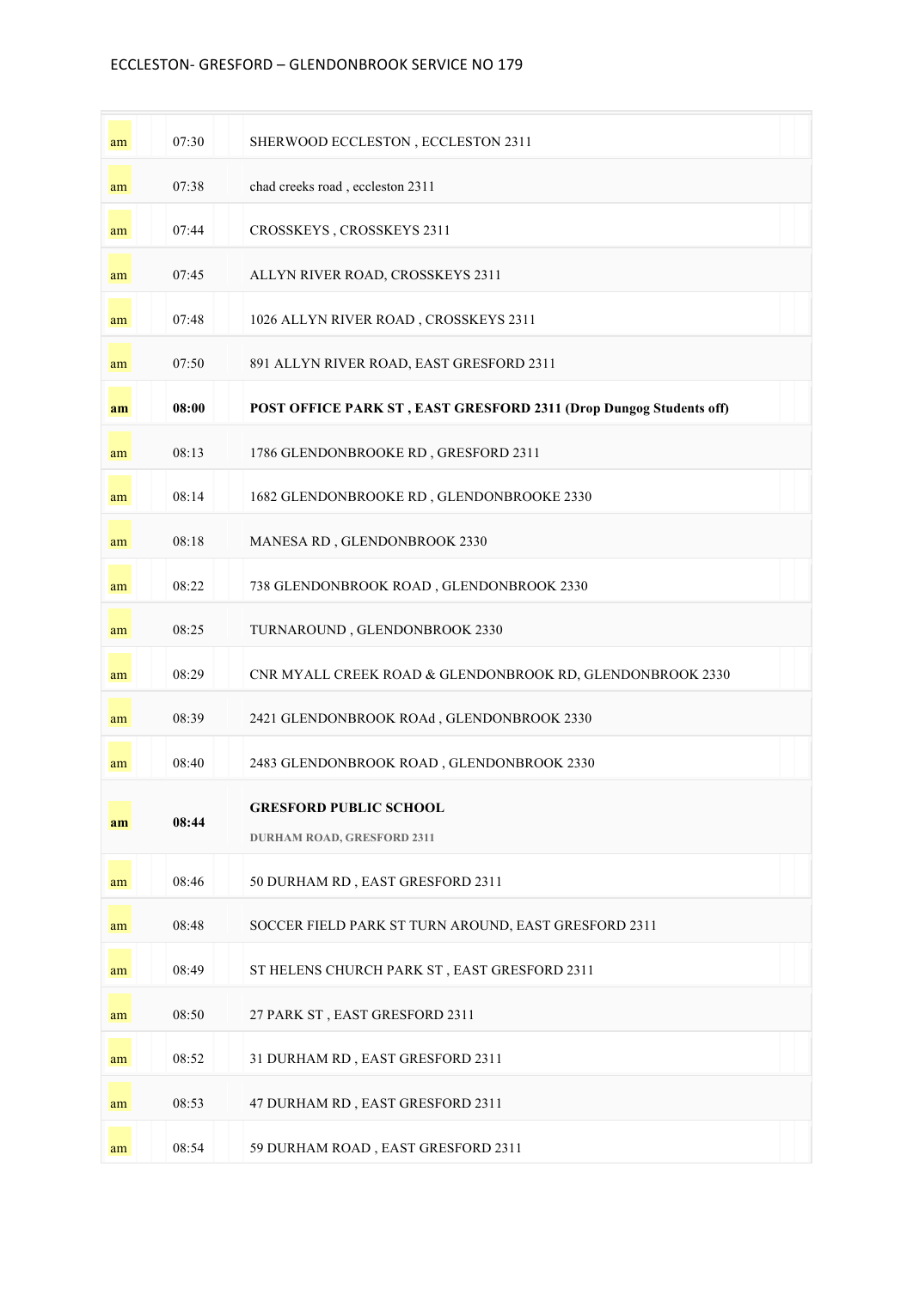## ECCLESTON- GRESFORD - GLENDONBROOK SERVICE NO 179

| am | 07:30 | SHERWOOD ECCLESTON, ECCLESTON 2311                                 |
|----|-------|--------------------------------------------------------------------|
| am | 07:38 | chad creeks road, eccleston 2311                                   |
| am | 07:44 | CROSSKEYS, CROSSKEYS 2311                                          |
| am | 07:45 | ALLYN RIVER ROAD, CROSSKEYS 2311                                   |
| am | 07:48 | 1026 ALLYN RIVER ROAD, CROSSKEYS 2311                              |
| am | 07:50 | 891 ALLYN RIVER ROAD, EAST GRESFORD 2311                           |
| am | 08:00 | POST OFFICE PARK ST, EAST GRESFORD 2311 (Drop Dungog Students off) |
| am | 08:13 | 1786 GLENDONBROOKE RD, GRESFORD 2311                               |
| am | 08:14 | 1682 GLENDONBROOKE RD, GLENDONBROOKE 2330                          |
| am | 08:18 | MANESA RD, GLENDONBROOK 2330                                       |
| am | 08:22 | 738 GLENDONBROOK ROAD, GLENDONBROOK 2330                           |
| am | 08:25 | TURNAROUND, GLENDONBROOK 2330                                      |
| am | 08:29 | CNR MYALL CREEK ROAD & GLENDONBROOK RD, GLENDONBROOK 2330          |
| am | 08:39 | 2421 GLENDONBROOK ROAd, GLENDONBROOK 2330                          |
| am | 08:40 | 2483 GLENDONBROOK ROAD, GLENDONBROOK 2330                          |
| am | 08:44 | <b>GRESFORD PUBLIC SCHOOL</b><br><b>DURHAM ROAD, GRESFORD 2311</b> |
| am | 08:46 | 50 DURHAM RD, EAST GRESFORD 2311                                   |
| am | 08:48 | SOCCER FIELD PARK ST TURN AROUND, EAST GRESFORD 2311               |
| am | 08:49 | ST HELENS CHURCH PARK ST, EAST GRESFORD 2311                       |
| am | 08:50 | 27 PARK ST, EAST GRESFORD 2311                                     |
| am | 08:52 | 31 DURHAM RD, EAST GRESFORD 2311                                   |
| am | 08:53 | 47 DURHAM RD, EAST GRESFORD 2311                                   |
| am | 08:54 | 59 DURHAM ROAD, EAST GRESFORD 2311                                 |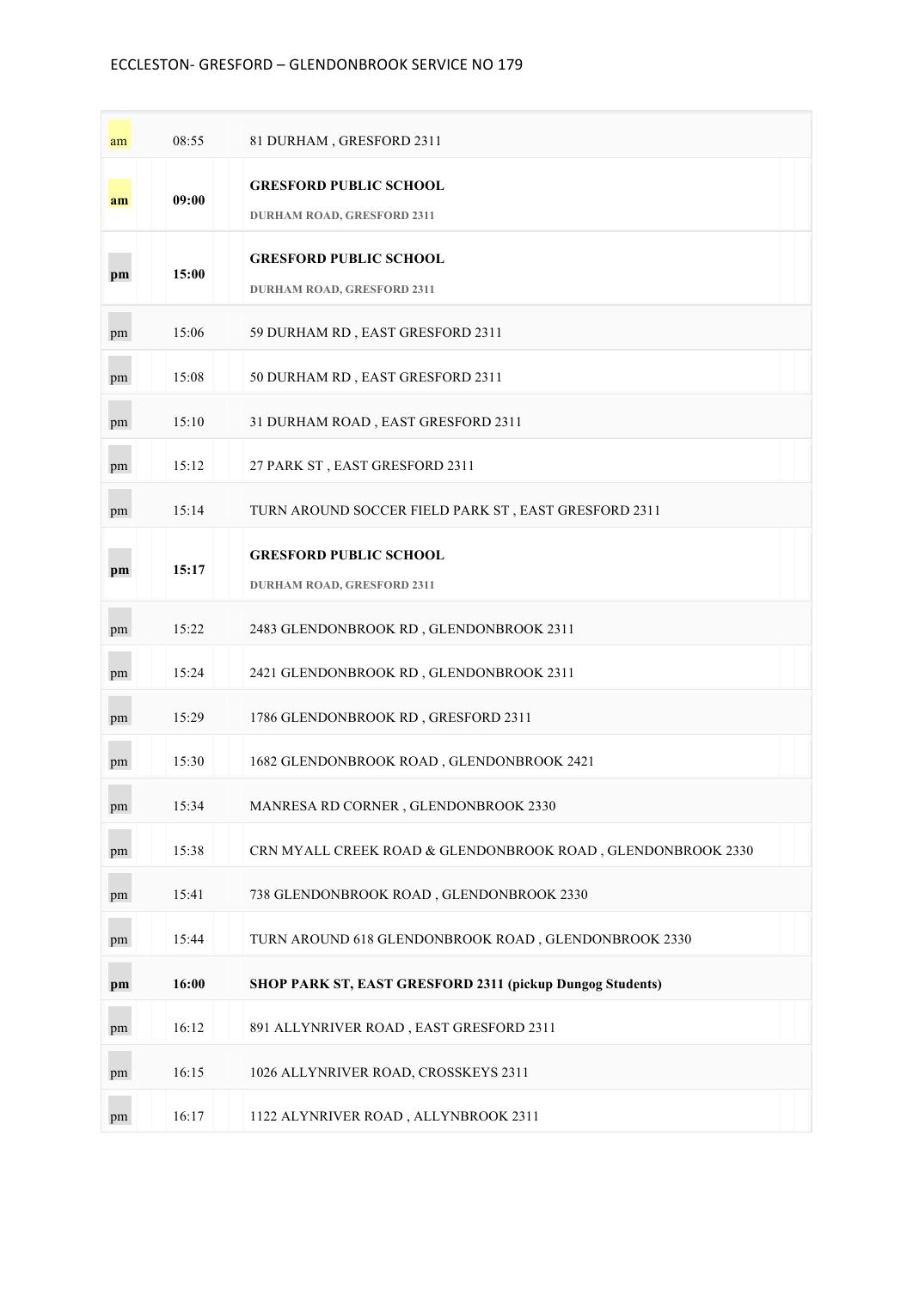## ECCLESTON- GRESFORD - GLENDONBROOK SERVICE NO 179

| am | 08:55 | 81 DURHAM, GRESFORD 2311                                           |
|----|-------|--------------------------------------------------------------------|
| am | 09:00 | <b>GRESFORD PUBLIC SCHOOL</b><br><b>DURHAM ROAD, GRESFORD 2311</b> |
| pm | 15:00 | <b>GRESFORD PUBLIC SCHOOL</b><br><b>DURHAM ROAD, GRESFORD 2311</b> |
| pm | 15:06 | 59 DURHAM RD, EAST GRESFORD 2311                                   |
| pm | 15:08 | 50 DURHAM RD, EAST GRESFORD 2311                                   |
| pm | 15:10 | 31 DURHAM ROAD, EAST GRESFORD 2311                                 |
| pm | 15:12 | 27 PARK ST, EAST GRESFORD 2311                                     |
| pm | 15:14 | TURN AROUND SOCCER FIELD PARK ST, EAST GRESFORD 2311               |
| pm | 15:17 | <b>GRESFORD PUBLIC SCHOOL</b><br><b>DURHAM ROAD, GRESFORD 2311</b> |
| pm | 15:22 | 2483 GLENDONBROOK RD, GLENDONBROOK 2311                            |
| pm | 15:24 | 2421 GLENDONBROOK RD, GLENDONBROOK 2311                            |
| pm | 15:29 | 1786 GLENDONBROOK RD, GRESFORD 2311                                |
| pm | 15:30 | 1682 GLENDONBROOK ROAD, GLENDONBROOK 2421                          |
| pm | 15:34 | MANRESA RD CORNER, GLENDONBROOK 2330                               |
| pm | 15:38 | CRN MYALL CREEK ROAD & GLENDONBROOK ROAD, GLENDONBROOK 2330        |
| pm | 15:41 | 738 GLENDONBROOK ROAD, GLENDONBROOK 2330                           |
| pm | 15:44 | TURN AROUND 618 GLENDONBROOK ROAD, GLENDONBROOK 2330               |
| pm | 16:00 | SHOP PARK ST, EAST GRESFORD 2311 (pickup Dungog Students)          |
| pm | 16:12 | 891 ALLYNRIVER ROAD, EAST GRESFORD 2311                            |
| pm | 16:15 | 1026 ALLYNRIVER ROAD, CROSSKEYS 2311                               |
| pm | 16:17 | 1122 ALYNRIVER ROAD, ALLYNBROOK 2311                               |